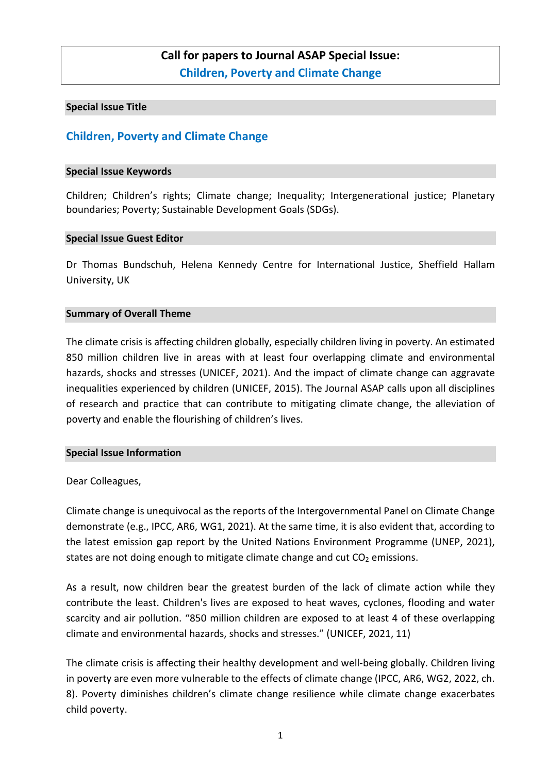# **Call for papers to Journal ASAP Special Issue: Children, Poverty and Climate Change**

#### **Special Issue Title**

# **Children, Poverty and Climate Change**

#### **Special Issue Keywords**

Children; Children's rights; Climate change; Inequality; Intergenerational justice; Planetary boundaries; Poverty; Sustainable Development Goals (SDGs).

#### **Special Issue Guest Editor**

Dr Thomas Bundschuh, Helena Kennedy Centre for International Justice, Sheffield Hallam University, UK

#### **Summary of Overall Theme**

The climate crisis is affecting children globally, especially children living in poverty. An estimated 850 million children live in areas with at least four overlapping climate and environmental hazards, shocks and stresses (UNICEF, 2021). And the impact of climate change can aggravate inequalities experienced by children (UNICEF, 2015). The Journal ASAP calls upon all disciplines of research and practice that can contribute to mitigating climate change, the alleviation of poverty and enable the flourishing of children's lives.

#### **Special Issue Information**

#### Dear Colleagues,

Climate change is unequivocal as the reports of the Intergovernmental Panel on Climate Change demonstrate (e.g., IPCC, AR6, WG1, 2021). At the same time, it is also evident that, according to the latest emission gap report by the United Nations Environment Programme (UNEP, 2021), states are not doing enough to mitigate climate change and cut  $CO<sub>2</sub>$  emissions.

As a result, now children bear the greatest burden of the lack of climate action while they contribute the least. Children's lives are exposed to heat waves, cyclones, flooding and water scarcity and air pollution. "850 million children are exposed to at least 4 of these overlapping climate and environmental hazards, shocks and stresses." (UNICEF, 2021, 11)

The climate crisis is affecting their healthy development and well-being globally. Children living in poverty are even more vulnerable to the effects of climate change (IPCC, AR6, WG2, 2022, ch. 8). Poverty diminishes children's climate change resilience while climate change exacerbates child poverty.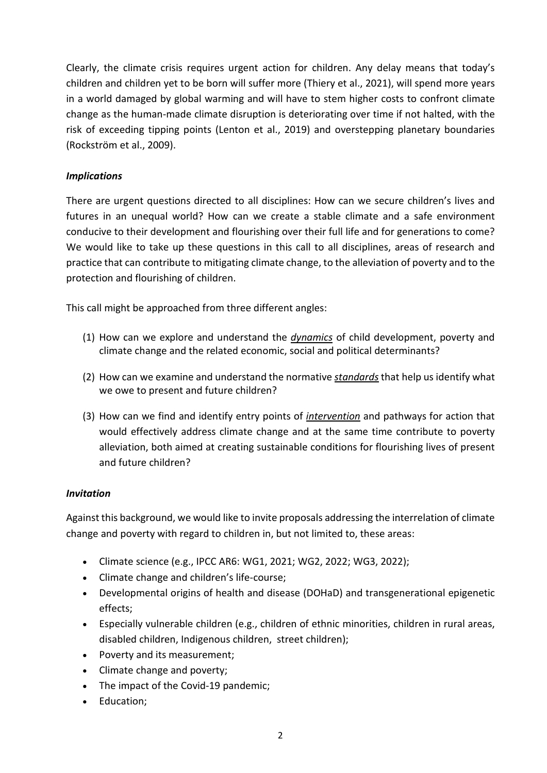Clearly, the climate crisis requires urgent action for children. Any delay means that today's children and children yet to be born will suffer more (Thiery et al., 2021), will spend more years in a world damaged by global warming and will have to stem higher costs to confront climate change as the human-made climate disruption is deteriorating over time if not halted, with the risk of exceeding tipping points (Lenton et al., 2019) and overstepping planetary boundaries (Rockström et al., 2009).

# *Implications*

There are urgent questions directed to all disciplines: How can we secure children's lives and futures in an unequal world? How can we create a stable climate and a safe environment conducive to their development and flourishing over their full life and for generations to come? We would like to take up these questions in this call to all disciplines, areas of research and practice that can contribute to mitigating climate change, to the alleviation of poverty and to the protection and flourishing of children.

This call might be approached from three different angles:

- (1) How can we explore and understand the *dynamics* of child development, poverty and climate change and the related economic, social and political determinants?
- (2) How can we examine and understand the normative *standards* that help us identify what we owe to present and future children?
- (3) How can we find and identify entry points of *intervention* and pathways for action that would effectively address climate change and at the same time contribute to poverty alleviation, both aimed at creating sustainable conditions for flourishing lives of present and future children?

## *Invitation*

Against this background, we would like to invite proposals addressing the interrelation of climate change and poverty with regard to children in, but not limited to, these areas:

- Climate science (e.g., IPCC AR6: WG1, 2021; WG2, 2022; WG3, 2022);
- Climate change and children's life-course;
- Developmental origins of health and disease (DOHaD) and transgenerational epigenetic effects;
- Especially vulnerable children (e.g., children of ethnic minorities, children in rural areas, disabled children, Indigenous children, street children);
- Poverty and its measurement;
- Climate change and poverty;
- The impact of the Covid-19 pandemic;
- Education;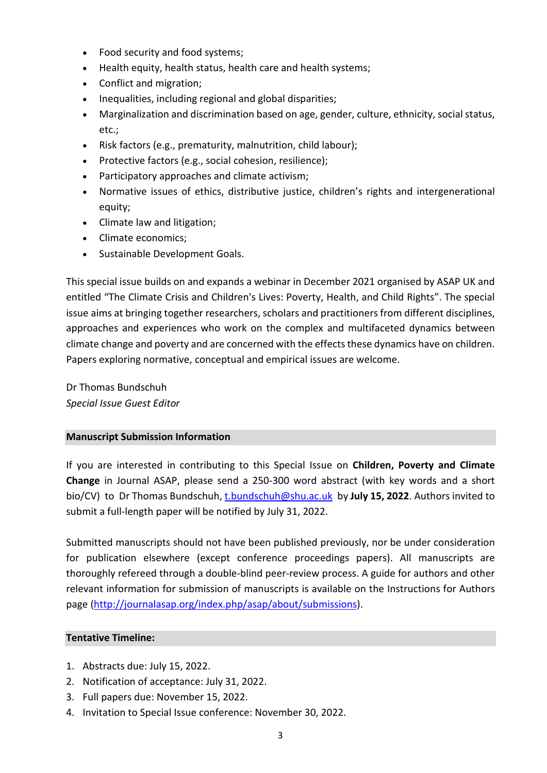- Food security and food systems;
- Health equity, health status, health care and health systems;
- Conflict and migration;
- Inequalities, including regional and global disparities;
- Marginalization and discrimination based on age, gender, culture, ethnicity, social status, etc.;
- Risk factors (e.g., prematurity, malnutrition, child labour);
- Protective factors (e.g., social cohesion, resilience);
- Participatory approaches and climate activism;
- Normative issues of ethics, distributive justice, children's rights and intergenerational equity;
- Climate law and litigation;
- Climate economics;
- Sustainable Development Goals.

This special issue builds on and expands a webinar in December 2021 organised by ASAP UK and entitled "The Climate Crisis and Children's Lives: Poverty, Health, and Child Rights". The special issue aims at bringing together researchers, scholars and practitioners from different disciplines, approaches and experiences who work on the complex and multifaceted dynamics between climate change and poverty and are concerned with the effects these dynamics have on children. Papers exploring normative, conceptual and empirical issues are welcome.

Dr Thomas Bundschuh *Special Issue Guest Editor*

#### **Manuscript Submission Information**

If you are interested in contributing to this Special Issue on **Children, Poverty and Climate Change** in Journal ASAP, please send a 250-300 word abstract (with key words and a short bio/CV) to Dr Thomas Bundschuh[, t.bundschuh@shu.ac.uk](mailto:t.bundschuh@shu.ac.uk) by **July 15, 2022**. Authors invited to submit a full-length paper will be notified by July 31, 2022.

Submitted manuscripts should not have been published previously, nor be under consideration for publication elsewhere (except conference proceedings papers). All manuscripts are thoroughly refereed through a double-blind peer-review process. A guide for authors and other relevant information for submission of manuscripts is available on the Instructions for Authors page [\(http://journalasap.org/index.php/asap/about/submissions\)](http://journalasap.org/index.php/asap/about/submissions).

#### **Tentative Timeline:**

- 1. Abstracts due: July 15, 2022.
- 2. Notification of acceptance: July 31, 2022.
- 3. Full papers due: November 15, 2022.
- 4. Invitation to Special Issue conference: November 30, 2022.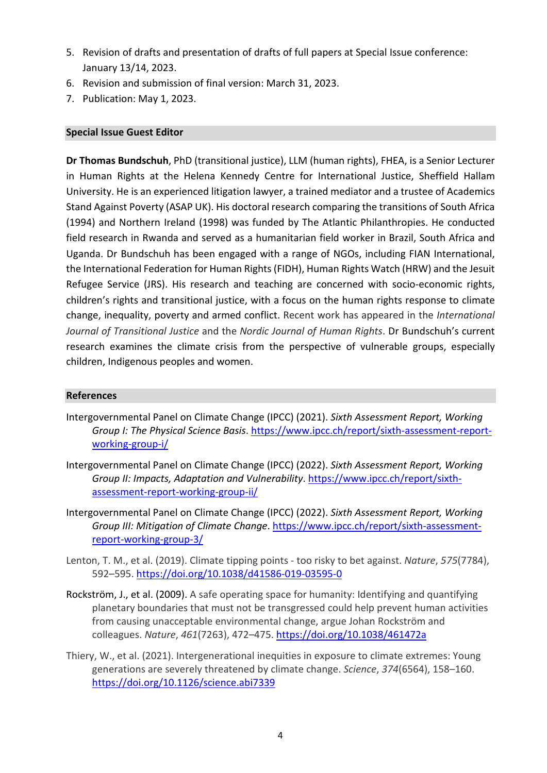- 5. Revision of drafts and presentation of drafts of full papers at Special Issue conference: January 13/14, 2023.
- 6. Revision and submission of final version: March 31, 2023.
- 7. Publication: May 1, 2023.

### **Special Issue Guest Editor**

**Dr Thomas Bundschuh**, PhD (transitional justice), LLM (human rights), FHEA, is a Senior Lecturer in Human Rights at the Helena Kennedy Centre for International Justice, Sheffield Hallam University. He is an experienced litigation lawyer, a trained mediator and a trustee of Academics Stand Against Poverty (ASAP UK). His doctoral research comparing the transitions of South Africa (1994) and Northern Ireland (1998) was funded by The Atlantic Philanthropies. He conducted field research in Rwanda and served as a humanitarian field worker in Brazil, South Africa and Uganda. Dr Bundschuh has been engaged with a range of NGOs, including FIAN International, the International Federation for Human Rights (FIDH), Human Rights Watch (HRW) and the Jesuit Refugee Service (JRS). His research and teaching are concerned with socio-economic rights, children's rights and transitional justice, with a focus on the human rights response to climate change, inequality, poverty and armed conflict. Recent work has appeared in the *International Journal of Transitional Justice* and the *Nordic Journal of Human Rights*. Dr Bundschuh's current research examines the climate crisis from the perspective of vulnerable groups, especially children, Indigenous peoples and women.

#### **References**

- Intergovernmental Panel on Climate Change (IPCC) (2021). *Sixth Assessment Report, Working Group I: The Physical Science Basis*. [https://www.ipcc.ch/report/sixth-assessment-report](https://www.ipcc.ch/report/sixth-assessment-report-working-group-i/)[working-group-i/](https://www.ipcc.ch/report/sixth-assessment-report-working-group-i/)
- Intergovernmental Panel on Climate Change (IPCC) (2022). *Sixth Assessment Report, Working Group II: Impacts, Adaptation and Vulnerability*. [https://www.ipcc.ch/report/sixth](https://www.ipcc.ch/report/sixth-assessment-report-working-group-ii/)[assessment-report-working-group-ii/](https://www.ipcc.ch/report/sixth-assessment-report-working-group-ii/)
- Intergovernmental Panel on Climate Change (IPCC) (2022). *Sixth Assessment Report, Working Group III: Mitigation of Climate Change*. [https://www.ipcc.ch/report/sixth-assessment](https://www.ipcc.ch/report/sixth-assessment-report-working-group-3/)[report-working-group-3/](https://www.ipcc.ch/report/sixth-assessment-report-working-group-3/)
- Lenton, T. M., et al. (2019). Climate tipping points too risky to bet against. *Nature*, *575*(7784), 592–595.<https://doi.org/10.1038/d41586-019-03595-0>
- Rockström, J., et al. (2009). A safe operating space for humanity: Identifying and quantifying planetary boundaries that must not be transgressed could help prevent human activities from causing unacceptable environmental change, argue Johan Rockström and colleagues. *Nature*, *461*(7263), 472–475. <https://doi.org/10.1038/461472a>
- Thiery, W., et al. (2021). Intergenerational inequities in exposure to climate extremes: Young generations are severely threatened by climate change. *Science*, *374*(6564), 158–160. <https://doi.org/10.1126/science.abi7339>